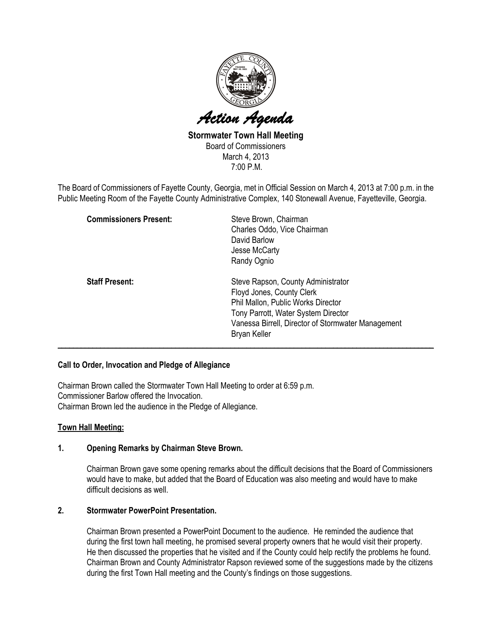

Stormwater Town Hall Meeting Board of Commissioners March 4, 2013 7:00 P.M.

The Board of Commissioners of Fayette County, Georgia, met in Official Session on March 4, 2013 at 7:00 p.m. in the Public Meeting Room of the Fayette County Administrative Complex, 140 Stonewall Avenue, Fayetteville, Georgia.

| <b>Commissioners Present:</b> | Steve Brown, Chairman<br>Charles Oddo, Vice Chairman<br>David Barlow<br>Jesse McCarty<br>Randy Ognio                                                                                                                      |
|-------------------------------|---------------------------------------------------------------------------------------------------------------------------------------------------------------------------------------------------------------------------|
| <b>Staff Present:</b>         | Steve Rapson, County Administrator<br>Floyd Jones, County Clerk<br>Phil Mallon, Public Works Director<br>Tony Parrott, Water System Director<br>Vanessa Birrell, Director of Stormwater Management<br><b>Bryan Keller</b> |

### Call to Order, Invocation and Pledge of Allegiance

Chairman Brown called the Stormwater Town Hall Meeting to order at 6:59 p.m. Commissioner Barlow offered the Invocation. Chairman Brown led the audience in the Pledge of Allegiance.

### Town Hall Meeting:

# 1. Opening Remarks by Chairman Steve Brown.

Chairman Brown gave some opening remarks about the difficult decisions that the Board of Commissioners would have to make, but added that the Board of Education was also meeting and would have to make difficult decisions as well.

## 2. Stormwater PowerPoint Presentation.

Chairman Brown presented a PowerPoint Document to the audience. He reminded the audience that during the first town hall meeting, he promised several property owners that he would visit their property. He then discussed the properties that he visited and if the County could help rectify the problems he found. Chairman Brown and County Administrator Rapson reviewed some of the suggestions made by the citizens during the first Town Hall meeting and the County's findings on those suggestions.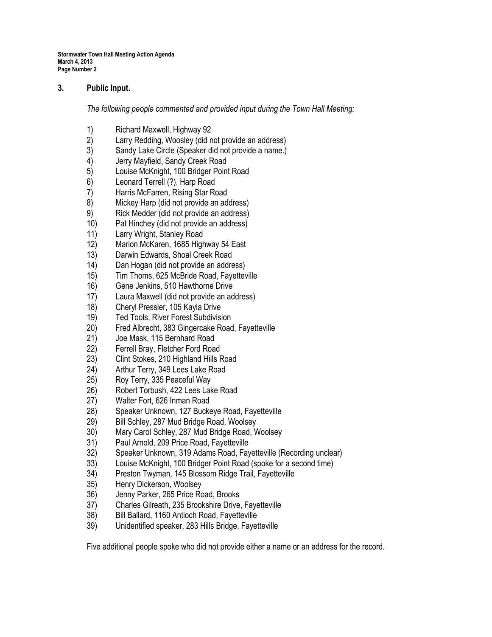## 3. Public Input.

The following people commented and provided input during the Town Hall Meeting:

- 
- 1) Richard Maxwell, Highway 92<br>2) Larry Redding, Woosley (did n Larry Redding, Woosley (did not provide an address)
- 3) Sandy Lake Circle (Speaker did not provide a name.)
- 4) Jerry Mayfield, Sandy Creek Road
- 5) Louise McKnight, 100 Bridger Point Road
- 6) Leonard Terrell (?), Harp Road
- 7) Harris McFarren, Rising Star Road
- 8) Mickey Harp (did not provide an address)
- 9) Rick Medder (did not provide an address)
- 10) Pat Hinchey (did not provide an address)
- 11) Larry Wright, Stanley Road
- 12) Marion McKaren, 1685 Highway 54 East
- 13) Darwin Edwards, Shoal Creek Road
- 14) Dan Hogan (did not provide an address)
- 15) Tim Thoms, 625 McBride Road, Fayetteville
- 16) Gene Jenkins, 510 Hawthorne Drive
- 17) Laura Maxwell (did not provide an address)
- 18) Cheryl Pressler, 105 Kayla Drive
- 19) Ted Tools, River Forest Subdivision
- 20) Fred Albrecht, 383 Gingercake Road, Fayetteville
- 21) Joe Mask, 115 Bernhard Road
- 22) Ferrell Bray, Fletcher Ford Road
- 23) Clint Stokes, 210 Highland Hills Road
- 24) Arthur Terry, 349 Lees Lake Road
- 25) Roy Terry, 335 Peaceful Way
- 26) Robert Torbush, 422 Lees Lake Road
- 27) Walter Fort, 626 Inman Road
- 28) Speaker Unknown, 127 Buckeye Road, Fayetteville
- 29) Bill Schley, 287 Mud Bridge Road, Woolsey
- 30) Mary Carol Schley, 287 Mud Bridge Road, Woolsey
- 31) Paul Arnold, 209 Price Road, Fayetteville
- 32) Speaker Unknown, 319 Adams Road, Fayetteville (Recording unclear)
- 33) Louise McKnight, 100 Bridger Point Road (spoke for a second time)
- 34) Preston Twyman, 145 Blossom Ridge Trail, Fayetteville
- 35) Henry Dickerson, Woolsey
- 
- 36) Jenny Parker, 265 Price Road, Brooks<br>37) Charles Gilreath, 235 Brookshire Drive, 37) Charles Gilreath, 235 Brookshire Drive, Fayetteville
- 38) Bill Ballard, 1160 Antioch Road, Fayetteville
- 39) Unidentified speaker, 283 Hills Bridge, Fayetteville

Five additional people spoke who did not provide either a name or an address for the record.